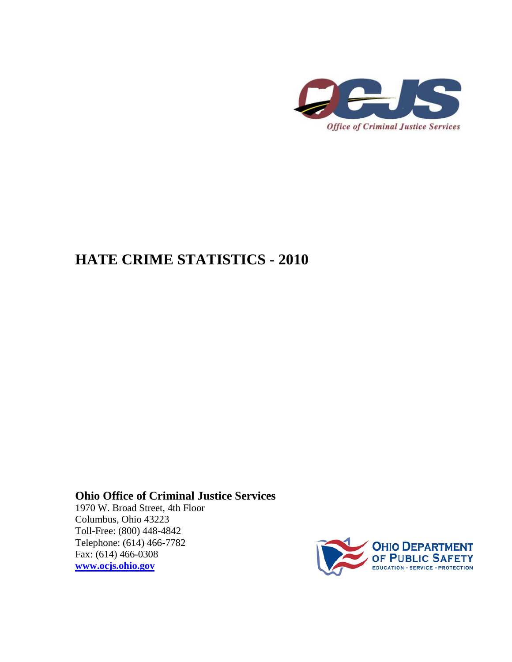

## **HATE CRIME STATISTICS - 2010**

## **Ohio Office of Criminal Justice Services**

<span id="page-0-0"></span>1970 W. Broad Street, 4th Floor Columbus, Ohio 43223 Toll-Free: (800) 448-4842 Telephone: (614) 466-7782 Fax: (614) 466-0308 **[www.ocjs.ohio.gov](http://www.ocjs.ohio.gov/)**

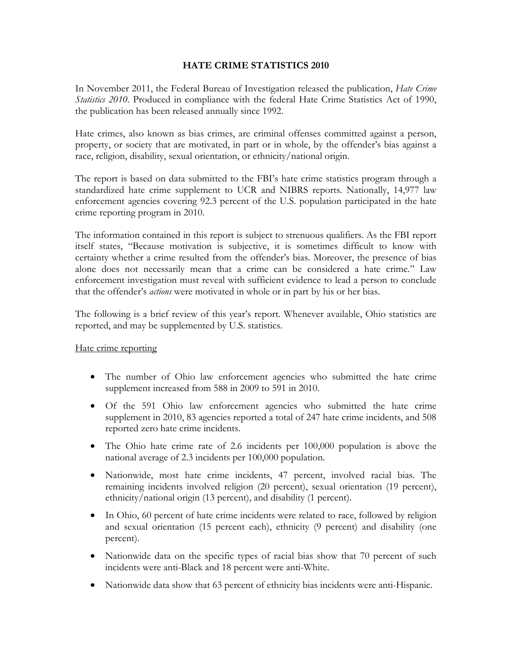## **HATE CRIME STATISTICS 2010**

In November 2011, the Federal Bureau of Investigation released the publication, *Hate Crime Statistics 2010*. Produced in compliance with the federal Hate Crime Statistics Act of 1990, the publication has been released annually since 1992.

Hate crimes, also known as bias crimes, are criminal offenses committed against a person, property, or society that are motivated, in part or in whole, by the offender's bias against a race, religion, disability, sexual orientation, or ethnicity/national origin.

The report is based on data submitted to the FBI's hate crime statistics program through a standardized hate crime supplement to UCR and NIBRS reports. Nationally, 14,977 law enforcement agencies covering 92.3 percent of the U.S. population participated in the hate crime reporting program in 2010.

The information contained in this report is subject to strenuous qualifiers. As the FBI report itself states, "Because motivation is subjective, it is sometimes difficult to know with certainty whether a crime resulted from the offender's bias. Moreover, the presence of bias alone does not necessarily mean that a crime can be considered a hate crime." Law enforcement investigation must reveal with sufficient evidence to lead a person to conclude that the offender's *actions* were motivated in whole or in part by his or her bias.

The following is a brief review of this year's report. Whenever available, Ohio statistics are reported, and may be supplemented by U.S. statistics.

## Hate crime reporting

- The number of Ohio law enforcement agencies who submitted the hate crime supplement increased from 588 in 2009 to 591 in 2010.
- Of the 591 Ohio law enforcement agencies who submitted the hate crime supplement in 2010, 83 agencies reported a total of 247 hate crime incidents, and 508 reported zero hate crime incidents.
- The Ohio hate crime rate of 2.6 incidents per 100,000 population is above the national average of 2.3 incidents per 100,000 population.
- Nationwide, most hate crime incidents, 47 percent, involved racial bias. The remaining incidents involved religion (20 percent), sexual orientation (19 percent), ethnicity/national origin (13 percent), and disability (1 percent).
- In Ohio, 60 percent of hate crime incidents were related to race, followed by religion and sexual orientation (15 percent each), ethnicity (9 percent) and disability (one percent).
- Nationwide data on the specific types of racial bias show that 70 percent of such incidents were anti-Black and 18 percent were anti-White.
- Nationwide data show that 63 percent of ethnicity bias incidents were anti-Hispanic.